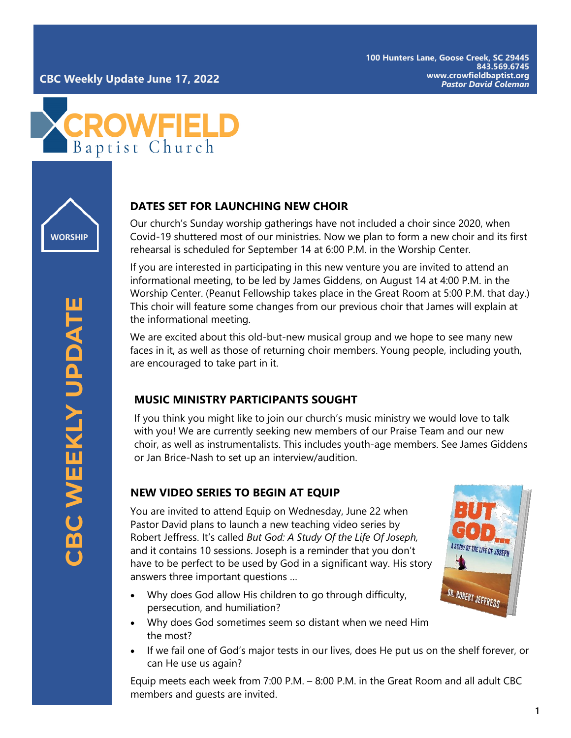



# **DATES SET FOR LAUNCHING NEW CHOIR**

Our church 's Sunday worship gatherings have not included a choir since 2020, when Covid -19 shuttered most of our ministries. Now we plan to form a new choir and its first rehearsal is scheduled for September 14 at 6:00 P.M. in the Worship Center.

If you are interested in participating in this new venture you are invited to attend an informational meeting, to be led by James Giddens, on August 14 at 4:00 P.M. in the Worship Center. (Peanut Fellowship takes place in the Great Room at 5:00 P.M. that day.) This choir will feature some changes from our previous choir that James will explain at the informational meeting.

We are excited about this old-but-new musical group and we hope to see many new faces in it, as well as those of returning choir members. Young people, including youth, are encouraged to take part in it.

## **MUSIC MINISTRY PARTICIPANTS SOUGHT**

If you think you might like to join our church 's music ministry we would love to talk with you! We are currently seeking new members of our Praise Team and our new choir, as well as instrumentalists. This includes youth -age members. See James Giddens or Jan Brice -Nash to set up an interview/audition.

# **NEW VIDEO SERIES TO BEGIN AT EQUIP**

You are invited to attend Equip on Wednesday, June 22 when Pastor David plans to launch a new teaching video series by Robert Jeffress. It 's called *But God: A Study Of the Life Of Joseph,* and it contains 10 sessions. Joseph is a reminder that you don 't have to be perfect to be used by God in a significant way. His story answers three important questions …

- Why does God allow His children to go through difficulty, persecution, and humiliation?
- Why does God sometimes seem so distant when we need Him the most?
- If we fail one of God 's major tests in our lives, does He put us on the shelf forever, or can He use us again?

Equip meets each week from 7:00 P.M. – 8:00 P.M. in the Great Room and all adult CBC members and guests are invited.

A STUDY OF THE LIFE OF JOSEPH

OR. ROBERT JEFFRESS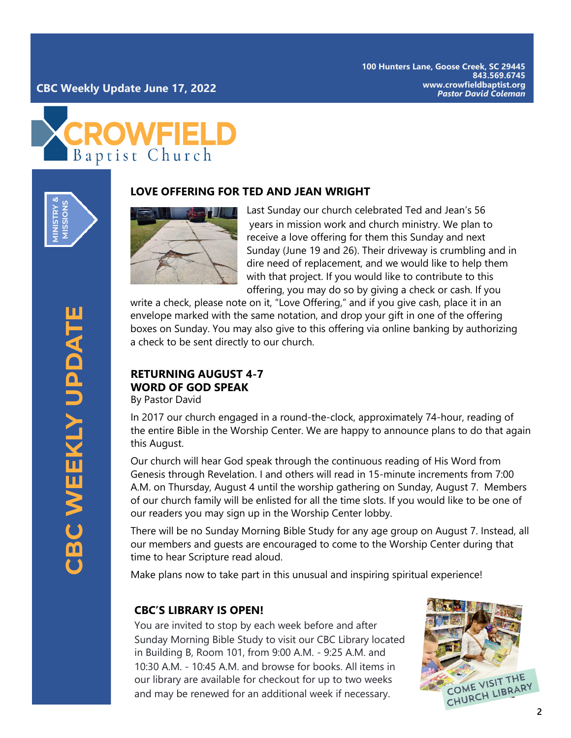



#### **LOVE OFFERING FOR TED AND JEAN WRIGHT**



Last Sunday our church celebrated Ted and Jean's 56 years in mission work and church ministry. We plan to receive a love offering for them this Sunday and next Sunday (June 19 and 26). Their driveway is crumbling and in dire need of replacement, and we would like to help them with that project. If you would like to contribute to this offering, you may do so by giving a check or cash. If you

write a check, please note on it, "Love Offering," and if you give cash, place it in an envelope marked with the same notation, and drop your gift in one of the offering boxes on Sunday. You may also give to this offering via online banking by authorizing a check to be sent directly to our church.

# **RETURNING AUGUST 4-7 WORD OF GOD SPEAK**

By Pastor David

In 2017 our church engaged in a round-the-clock, approximately 74-hour, reading of the entire Bible in the Worship Center. We are happy to announce plans to do that again this August.

Our church will hear God speak through the continuous reading of His Word from Genesis through Revelation. I and others will read in 15-minute increments from 7:00 A.M. on Thursday, August 4 until the worship gathering on Sunday, August 7. Members of our church family will be enlisted for all the time slots. If you would like to be one of our readers you may sign up in the Worship Center lobby.

There will be no Sunday Morning Bible Study for any age group on August 7. Instead, all our members and guests are encouraged to come to the Worship Center during that time to hear Scripture read aloud.

Make plans now to take part in this unusual and inspiring spiritual experience!

### **CBC'S LIBRARY IS OPEN!**

You are invited to stop by each week before and after Sunday Morning Bible Study to visit our CBC Library located in Building B, Room 101, from 9:00 A.M. - 9:25 A.M. and 10:30 A.M. - 10:45 A.M. and browse for books. All items in our library are available for checkout for up to two weeks and may be renewed for an additional week if necessary.

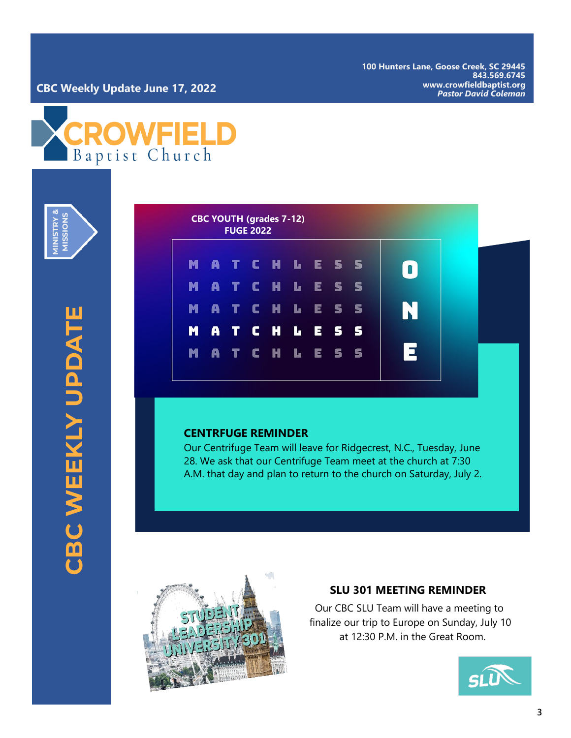**100 Hunters Lane, Goose Creek, SC 29445 843.569.6745 www.crowfieldbaptist.org**

# *Pastor David Coleman* **CBC Weekly Update June 17, 2022**



**MINISTRY & NOISSI** STR<br>5

| M |                  |  | ATCHLESS        |  |  | $\blacksquare$  |  |  |
|---|------------------|--|-----------------|--|--|-----------------|--|--|
| M |                  |  | ATCHLESS        |  |  |                 |  |  |
| M |                  |  | <b>ATCHLESS</b> |  |  | N               |  |  |
|   | <b>MATCHLESS</b> |  |                 |  |  |                 |  |  |
| M | ATCHLESS         |  |                 |  |  | $\vert$ $\vert$ |  |  |

#### **CENTRFUGE REMINDER**

Our Centrifuge Team will leave for Ridgecrest, N.C., Tuesday, June 28. We ask that our Centrifuge Team meet at the church at 7:30 A.M. that day and plan to return to the church on Saturday, July 2.



#### **SLU 301 MEETING REMINDER**

Our CBC SLU Team will have a meeting to finalize our trip to Europe on Sunday, July 10 at 12:30 P.M. in the Great Room.

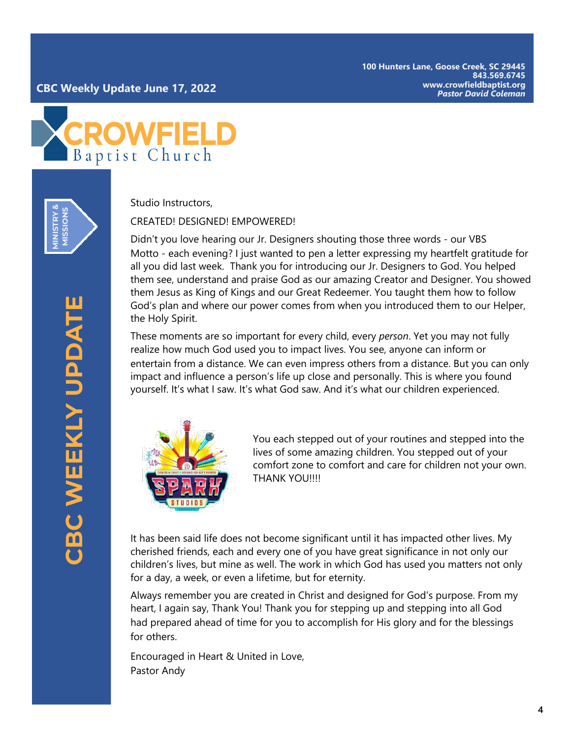**100 Hunters Lane, Goose Creek, SC 29445 843.569.6745 www.crowfieldbaptist.org**



**MINISTRY & MISSIONS** Studio Instructors,

CREATED! DESIGNED! EMPOWERED!

Didn't you love hearing our Jr. Designers shouting those three words - our VBS Motto - each evening? I just wanted to pen a letter expressing my heartfelt gratitude for all you did last week. Thank you for introducing our Jr. Designers to God. You helped them see, understand and praise God as our amazing Creator and Designer. You showed them Jesus as King of Kings and our Great Redeemer. You taught them how to follow God's plan and where our power comes from when you introduced them to our Helper, the Holy Spirit.

These moments are so important for every child, every *person*. Yet you may not fully realize how much God used you to impact lives. You see, anyone can inform or entertain from a distance. We can even impress others from a distance. But you can only impact and influence a person's life up close and personally. This is where you found yourself. It's what I saw. It's what God saw. And it's what our children experienced.



You each stepped out of your routines and stepped into the lives of some amazing children. You stepped out of your comfort zone to comfort and care for children not your own. THANK YOU!!!!

It has been said life does not become significant until it has impacted other lives. My cherished friends, each and every one of you have great significance in not only our children's lives, but mine as well. The work in which God has used you matters not only for a day, a week, or even a lifetime, but for eternity.

Always remember you are created in Christ and designed for God's purpose. From my heart, I again say, Thank You! Thank you for stepping up and stepping into all God had prepared ahead of time for you to accomplish for His glory and for the blessings for others.

Encouraged in Heart & United in Love, Pastor Andy